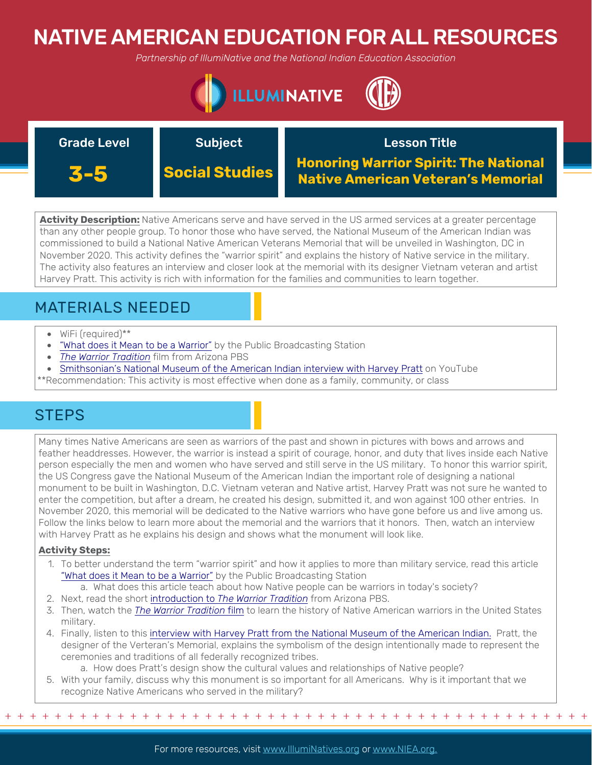# NATIVE AMERICAN EDUCATION FOR ALL RESOURCES

*Partnership of IllumiNative and the National Indian Education Association*



| <b>Grade Level</b> | <b>Subject</b>        | <b>Lesson Title</b>                                                                       |
|--------------------|-----------------------|-------------------------------------------------------------------------------------------|
| 3-5                | <b>Social Studies</b> | <b>Honoring Warrior Spirit: The National</b><br><b>Native American Veteran's Memorial</b> |

**Activity Description:** Native Americans serve and have served in the US armed services at a greater percentage than any other people group. To honor those who have served, the National Museum of the American Indian was commissioned to build a National Native American Veterans Memorial that will be unveiled in Washington, DC in November 2020. This activity defines the "warrior spirit" and explains the history of Native service in the military. The activity also features an interview and closer look at the memorial with its designer Vietnam veteran and artist Harvey Pratt. This activity is rich with information for the families and communities to learn together.

## MATERIALS NEEDED

- WiFi (required)\*\*
- ["What does it Mean to be a Warrior"](https://www.pbs.org/wned/warrior-tradition/features/what-does-it-mean-to-be-a-warrior/) by the Public Broadcasting Station
- *[The Warrior Tradition](https://www.pbs.org/video/the-warrior-tradition-fkaz4h/)* film from Arizona PBS
- [Smithsonian's National Museum of the American Indian interview with Harvey Pratt](https://www.youtube.com/watch?v=NvLbwvJV9B8&feature=emb_logo) on YouTube

\*\*Recommendation: This activity is most effective when done as a family, community, or class

## **STEPS**

Many times Native Americans are seen as warriors of the past and shown in pictures with bows and arrows and feather headdresses. However, the warrior is instead a spirit of courage, honor, and duty that lives inside each Native person especially the men and women who have served and still serve in the US military. To honor this warrior spirit, the US Congress gave the National Museum of the American Indian the important role of designing a national monument to be built in Washington, D.C. Vietnam veteran and Native artist, Harvey Pratt was not sure he wanted to enter the competition, but after a dream, he created his design, submitted it, and won against 100 other entries. In November 2020, this memorial will be dedicated to the Native warriors who have gone before us and live among us. Follow the links below to learn more about the memorial and the warriors that it honors. Then, watch an interview with Harvey Pratt as he explains his design and shows what the monument will look like.

### **Activity Steps:**

- 1. To better understand the term "warrior spirit" and how it applies to more than military service, read this article ["What does it Mean to be a Warrior"](https://www.pbs.org/wned/warrior-tradition/features/what-does-it-mean-to-be-a-warrior/) by the Public Broadcasting Station
	- a. What does this article teach about how Native people can be warriors in today's society?
- 2. Next, read the short introduction to *[The Warrior Tradition](https://azpbs.org/2019/10/the-warrior-tradition-tells-story-of-native-americans-in-u-s-military/)* from Arizona PBS.
- 3. Then, watch the *[The Warrior Tradition](https://www.pbs.org/video/the-warrior-tradition-fkaz4h/)* film to learn the history of Native American warriors in the United States military.
- 4. Finally, listen to this [interview with Harvey Pratt from the National Museum of the American Indian.](https://www.youtube.com/watch?v=NvLbwvJV9B8&feature=emb_logo) Pratt, the designer of the Verteran's Memorial, explains the symbolism of the design intentionally made to represent the ceremonies and traditions of all federally recognized tribes.
- a. How does Pratt's design show the cultural values and relationships of Native people? 5. With your family, discuss why this monument is so important for all Americans. Why is it important that we recognize Native Americans who served in the military?

+ + + + + + + + + + + + + + + + + + + + + + + + + + + + + + + + + + + + + + + + + + + + + + + +